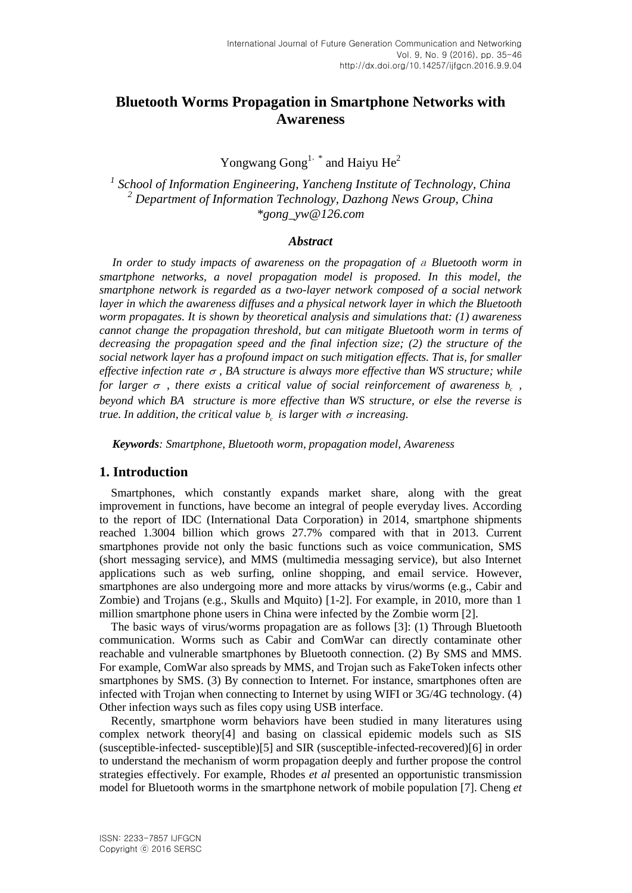# **Bluetooth Worms Propagation in Smartphone Networks with Awareness**

Yongwang  $Gong<sup>1,*</sup>$  and Haiyu He<sup>2</sup>

*1 School of Information Engineering, Yancheng Institute of Technology, China <sup>2</sup> Department of Information Technology, Dazhong News Group, China \*gong\_yw@126.com*

### *Abstract*

*In order to study impacts of awareness on the propagation of* <sup>a</sup> *Bluetooth worm in smartphone networks, a novel propagation model is proposed. In this model, the smartphone network is regarded as a two-layer network composed of a social network layer in which the awareness diffuses and a physical network layer in which the Bluetooth worm propagates. It is shown by theoretical analysis and simulations that: (1) awareness cannot change the propagation threshold, but can mitigate Bluetooth worm in terms of decreasing the propagation speed and the final infection size; (2) the structure of the social network layer has a profound impact on such mitigation effects. That is, for smaller effective infection rate*  $\sigma$ , BA structure is always more effective than WS structure; while *for larger*  $\sigma$  *, there exists a critical value of social reinforcement of awareness*  $b_c$  *, beyond which BA structure is more effective than WS structure, or else the reverse is true. In addition, the critical value*  $b_c$  *is larger with*  $\sigma$  *increasing.* 

*Keywords: Smartphone, Bluetooth worm, propagation model, Awareness*

## **1. Introduction**

Smartphones, which constantly expands market share, along with the great improvement in functions, have become an integral of people everyday lives. According to the report of IDC (International Data Corporation) in 2014, smartphone shipments reached 1.3004 billion which grows 27.7% compared with that in 2013. Current smartphones provide not only the basic functions such as voice communication, SMS (short messaging service), and MMS (multimedia messaging service), but also Internet applications such as web surfing, online shopping, and email service. However, smartphones are also undergoing more and more attacks by virus/worms (e.g., Cabir and Zombie) and Trojans (e.g., Skulls and Mquito) [1-2]. For example, in 2010, more than 1 million smartphone phone users in China were infected by the Zombie worm [2].

The basic ways of virus/worms propagation are as follows [3]: (1) Through Bluetooth communication. Worms such as Cabir and ComWar can directly contaminate other reachable and vulnerable smartphones by Bluetooth connection. (2) By SMS and MMS. For example, ComWar also spreads by MMS, and Trojan such as FakeToken infects other smartphones by SMS. (3) By connection to Internet. For instance, smartphones often are infected with Trojan when connecting to Internet by using WIFI or 3G/4G technology. (4) Other infection ways such as files copy using USB interface.

Recently, smartphone worm behaviors have been studied in many literatures using complex network theory[4] and basing on classical epidemic models such as SIS (susceptible-infected- susceptible)[5] and SIR (susceptible-infected-recovered)[6] in order to understand the mechanism of worm propagation deeply and further propose the control strategies effectively. For example, Rhodes *et al* presented an opportunistic transmission model for Bluetooth worms in the smartphone network of mobile population [7]. Cheng *et*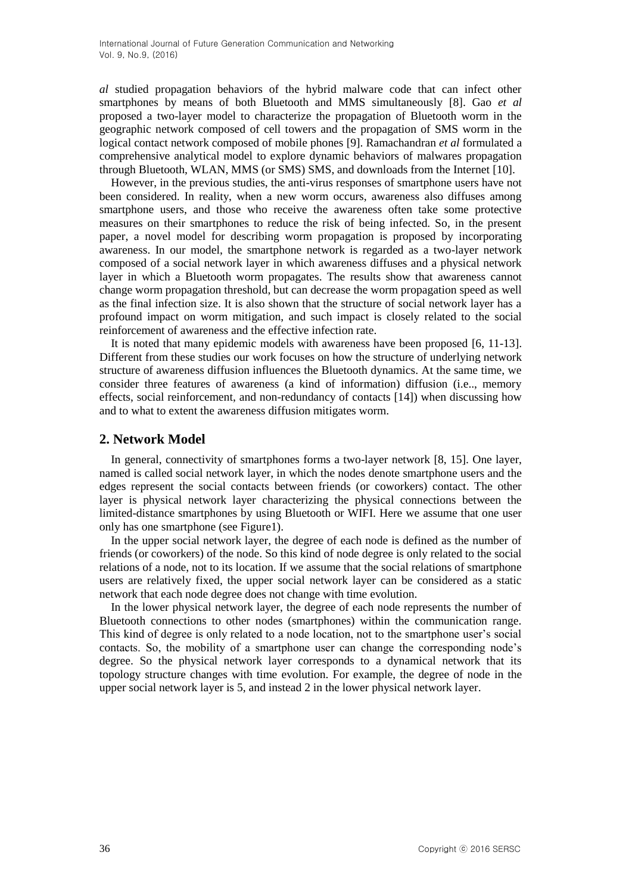*al* studied propagation behaviors of the hybrid malware code that can infect other smartphones by means of both Bluetooth and MMS simultaneously [8]. Gao *et al* proposed a two-layer model to characterize the propagation of Bluetooth worm in the geographic network composed of cell towers and the propagation of SMS worm in the logical contact network composed of mobile phones [9]. Ramachandran *et al* formulated a comprehensive analytical model to explore dynamic behaviors of malwares propagation through Bluetooth, WLAN, MMS (or SMS) SMS, and downloads from the Internet [10].

However, in the previous studies, the anti-virus responses of smartphone users have not been considered. In reality, when a new worm occurs, awareness also diffuses among smartphone users, and those who receive the awareness often take some protective measures on their smartphones to reduce the risk of being infected. So, in the present paper, a novel model for describing worm propagation is proposed by incorporating awareness. In our model, the smartphone network is regarded as a two-layer network composed of a social network layer in which awareness diffuses and a physical network layer in which a Bluetooth worm propagates. The results show that awareness cannot change worm propagation threshold, but can decrease the worm propagation speed as well as the final infection size. It is also shown that the structure of social network layer has a profound impact on worm mitigation, and such impact is closely related to the social reinforcement of awareness and the effective infection rate.

It is noted that many epidemic models with awareness have been proposed [6, 11-13]. Different from these studies our work focuses on how the structure of underlying network structure of awareness diffusion influences the Bluetooth dynamics. At the same time, we consider three features of awareness (a kind of information) diffusion (i.e.., memory effects, social reinforcement, and non-redundancy of contacts [14]) when discussing how and to what to extent the awareness diffusion mitigates worm.

## **2. Network Model**

In general, connectivity of smartphones forms a two-layer network [8, 15]. One layer, named is called social network layer, in which the nodes denote smartphone users and the edges represent the social contacts between friends (or coworkers) contact. The other layer is physical network layer characterizing the physical connections between the limited-distance smartphones by using Bluetooth or WIFI. Here we assume that one user only has one smartphone (see Figure1).

In the upper social network layer, the degree of each node is defined as the number of friends (or coworkers) of the node. So this kind of node degree is only related to the social relations of a node, not to its location. If we assume that the social relations of smartphone users are relatively fixed, the upper social network layer can be considered as a static network that each node degree does not change with time evolution.

In the lower physical network layer, the degree of each node represents the number of Bluetooth connections to other nodes (smartphones) within the communication range. This kind of degree is only related to a node location, not to the smartphone user"s social contacts. So, the mobility of a smartphone user can change the corresponding node"s degree. So the physical network layer corresponds to a dynamical network that its topology structure changes with time evolution. For example, the degree of node in the upper social network layer is 5, and instead 2 in the lower physical network layer.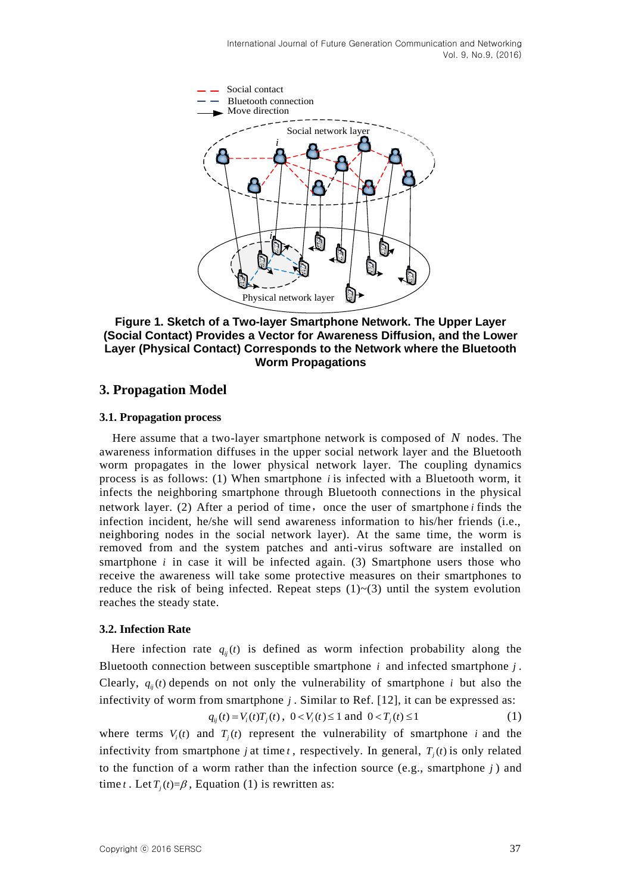

**Figure 1. Sketch of a Two-layer Smartphone Network. The Upper Layer (Social Contact) Provides a Vector for Awareness Diffusion, and the Lower Layer (Physical Contact) Corresponds to the Network where the Bluetooth Worm Propagations**

## **3. Propagation Model**

## **3.1. Propagation process**

Here assume that a two-layer smartphone network is composed of *N* nodes. The awareness information diffuses in the upper social network layer and the Bluetooth worm propagates in the lower physical network layer. The coupling dynamics process is as follows:  $(1)$  When smartphone *i* is infected with a Bluetooth worm, it infects the neighboring smartphone through Bluetooth connections in the physical network layer. (2) After a period of time, once the user of smartphone *i* finds the infection incident, he/she will send awareness information to his/her friends (i.e., neighboring nodes in the social network layer). At the same time, the worm is removed from and the system patches and anti-virus software are installed on smartphone  $i$  in case it will be infected again. (3) Smartphone users those who receive the awareness will take some protective measures on their smartphones to reduce the risk of being infected. Repeat steps  $(1)$   $\sim$   $(3)$  until the system evolution reaches the steady state.

## **3.2. Infection Rate**

Here infection rate  $q_{ij}(t)$  is defined as worm infection probability along the Bluetooth connection between susceptible smartphone  $i$  and infected smartphone  $j$ . Clearly,  $q_{ij}(t)$  depends on not only the vulnerability of smartphone *i* but also the infectivity of worm from smartphone *j* . Similar to Ref. [12], it can be expressed as:

$$
q_{ij}(t) = V_i(t)T_j(t), \ 0 < V_i(t) \le 1 \text{ and } 0 < T_j(t) \le 1 \tag{1}
$$

where terms  $V_i(t)$  and  $T_j(t)$  represent the vulnerability of smartphone *i* and the infectivity from smartphone *j* at time *t*, respectively. In general,  $T_j(t)$  is only related to the function of a worm rather than the infection source (e.g., smartphone  $j$ ) and time *t*. Let  $T_j(t)=\beta$ , Equation (1) is rewritten as: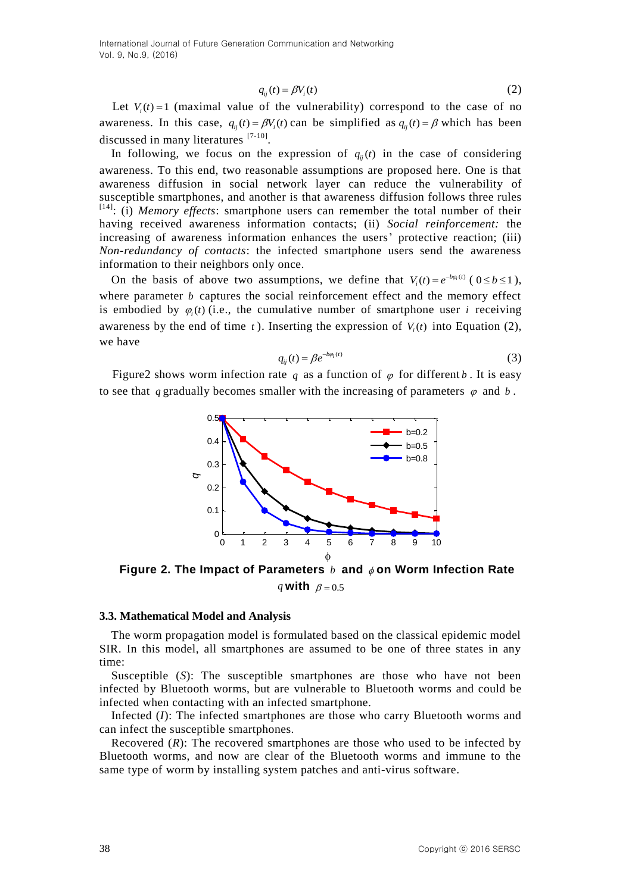$$
q_{ii}(t) = \beta V_i(t) \tag{2}
$$

Let  $V_i(t) = 1$  (maximal value of the vulnerability) correspond to the case of no awareness. In this case,  $q_{ij}(t) = \beta V_i(t)$  can be simplified as  $q_{ij}(t) = \beta$  which has been discussed in many literatures [7-10].

1 Let  $Y_i(t) = 1$  (maximal value of  $\theta$  for  $\theta$  if  $\theta$  is increasing the case of an discussed in this case,  $q_i(t) = f(t)/g(t)$  the simplified as  $q_i(t) = f'$  which has been another as the time of  $q_i(t)$  in the case of considerat In following, we focus on the expression of  $q_{ij}(t)$  in the case of considering awareness. To this end, two reasonable assumptions are proposed here. One is that awareness diffusion in social network layer can reduce the vulnerability of susceptible smartphones, and another is that awareness diffusion follows three rules [14]: (i) *Memory effects*: smartphone users can remember the total number of their having received awareness information contacts; (ii) *Social reinforcement:* the increasing of awareness information enhances the users' protective reaction; (iii) *Non-redundancy of contacts*: the infected smartphone users send the awareness information to their neighbors only once.

On the basis of above two assumptions, we define that  $V_i(t) = e^{-b\varphi_i(t)}$  ( $0 \le b \le 1$ ), where parameter  $b$  captures the social reinforcement effect and the memory effect is embodied by  $\varphi_i(t)$  (i.e., the cumulative number of smartphone user *i* receiving awareness by the end of time  $t$ ). Inserting the expression of  $V_i(t)$  into Equation (2), we have

$$
q_{ij}(t) = \beta e^{-b\varphi_i(t)}\tag{3}
$$

Figure2 shows worm infection rate q as a function of  $\varphi$  for different b. It is easy to see that q gradually becomes smaller with the increasing of parameters  $\varphi$  and b.



**Figure 2. The Impact of Parameters** *b* **and on Worm Infection Rate** q **with**  $\beta = 0.5$ 

#### **3.3. Mathematical Model and Analysis**

The worm propagation model is formulated based on the classical epidemic model SIR. In this model, all smartphones are assumed to be one of three states in any time:

Susceptible (*S*): The susceptible smartphones are those who have not been infected by Bluetooth worms, but are vulnerable to Bluetooth worms and could be infected when contacting with an infected smartphone.

Infected (*I*): The infected smartphones are those who carry Bluetooth worms and can infect the susceptible smartphones.

Recovered (*R*): The recovered smartphones are those who used to be infected by Bluetooth worms, and now are clear of the Bluetooth worms and immune to the same type of worm by installing system patches and anti-virus software.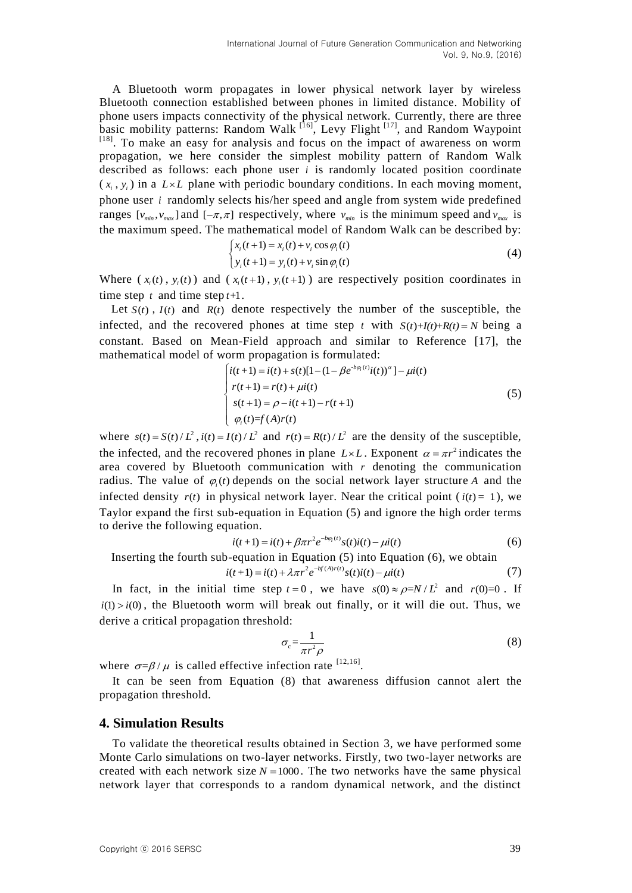A Bluetooth worm propagates in lower physical network layer by wireless Bluetooth connection established between phones in limited distance. Mobility of phone users impacts connectivity of the physical network. Currently, there are three basic mobility patterns: Random Walk  $\left[16\right]$ , Levy Flight  $\left[17\right]$ , and Random Waypoint [18]. To make an easy for analysis and focus on the impact of awareness on worm propagation, we here consider the simplest mobility pattern of Random Walk described as follows: each phone user *i* is randomly located position coordinate  $(x_i, y_i)$  in a  $L \times L$  plane with periodic boundary conditions. In each moving moment, phone user *i* randomly selects his/her speed and angle from system wide predefined ranges  $[v_{min}, v_{max}]$  and  $[-\pi, \pi]$  respectively, where  $v_{min}$  is the minimum speed and  $v_{max}$  is the maximum speed. The mathematical model of Random Walk can be described by:

$$
\begin{cases}\n x_i(t+1) = x_i(t) + v_i \cos \varphi_i(t) \\
 y_i(t+1) = y_i(t) + v_i \sin \varphi_i(t)\n\end{cases}
$$
\n(4)

Where  $(x_i(t), y_i(t))$  and  $(x_i(t+1), y_i(t+1))$  are respectively position coordinates in time step  $t$  and time step  $t+1$ .

Let  $S(t)$ ,  $I(t)$  and  $R(t)$  denote respectively the number of the susceptible, the infected, and the recovered phones at time step *t* with  $S(t)+I(t)+R(t)=N$  being a constant. Based on Mean-Field approach and similar to Reference [17], the mathematical model of worm propagation is formulated:<br> $\left[i(t+1) = i(t) + s(t)[1 - (1 - \beta e^{-b\varphi_t(t)}i(t))^{\alpha}] - \mu i(t)\right]$ 

$$
\begin{cases}\ni(t+1) = i(t) + s(t)[1 - (1 - \beta e^{-b\varphi_1(t)}i(t))^{\alpha}] - \mu i(t) \\
r(t+1) = r(t) + \mu i(t) \\
s(t+1) = \rho - i(t+1) - r(t+1) \\
\varphi_i(t) = f(A)r(t)\n\end{cases} (5)
$$

where  $s(t) = S(t)/L^2$ ,  $i(t) = I(t)/L^2$  and  $r(t) = R(t)/L^2$  are the density of the susceptible, the infected, and the recovered phones in plane  $L \times L$ . Exponent  $\alpha = \pi r^2$  indicates the area covered by Bluetooth communication with  $r$  denoting the communication radius. The value of  $\varphi_i(t)$  depends on the social network layer structure A and the infected density  $r(t)$  in physical network layer. Near the critical point ( $i(t) = 1$ ), we Taylor expand the first sub-equation in Equation (5) and ignore the high order terms to derive the following equation.

$$
i(t+1) = i(t) + \beta \pi r^2 e^{-b\varphi_t(t)} s(t) i(t) - \mu i(t)
$$
\n(6)

Inserting the fourth sub-equation in Equation (5) into Equation (6), we obtain  $i(t+1) = i(t) + \lambda \pi r^2 e^{-b f(A) r(t)} s(t) i(t) - \mu i(t)$  (7)

 $i(t+1) = i(t) + \lambda \pi r^2 e^{-b f(A) r(t)} s(t) i(t) - \mu i(t)$ į.

In fact, in the initial time step  $t = 0$ , we have  $s(0) \approx \rho = N/L^2$  and  $r(0)=0$ . If  $i(1) > i(0)$ , the Bluetooth worm will break out finally, or it will die out. Thus, we derive a critical propagation threshold:

$$
\sigma_c = \frac{1}{\pi r^2 \rho} \tag{8}
$$

where  $\sigma = \beta / \mu$  is called effective infection rate <sup>[12,16]</sup>.

It can be seen from Equation (8) that awareness diffusion cannot alert the propagation threshold.

## **4. Simulation Results**

To validate the theoretical results obtained in Section 3, we have performed some Monte Carlo simulations on two-layer networks. Firstly, two two-layer networks are created with each network size  $N = 1000$ . The two networks have the same physical network layer that corresponds to a random dynamical network, and the distinct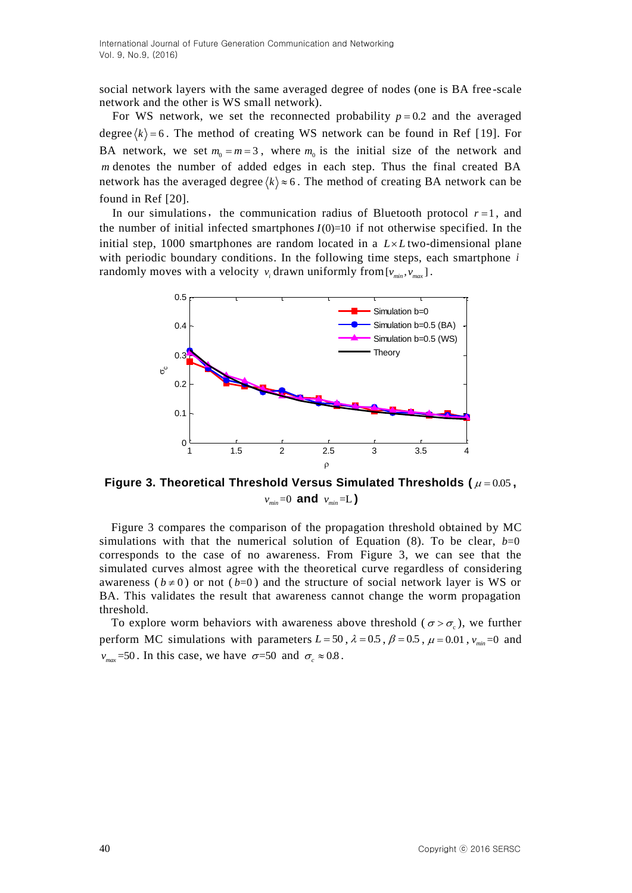social network layers with the same averaged degree of nodes (one is BA free -scale network and the other is WS small network).

For WS network, we set the reconnected probability  $p = 0.2$  and the averaged degree  $\langle k \rangle$  = 6. The method of creating WS network can be found in Ref [19]. For BA network, we set  $m_0 = m = 3$ , where  $m_0$  is the initial size of the network and *m* denotes the number of added edges in each step. Thus the final created BA network has the averaged degree  $\langle k \rangle \approx 6$ . The method of creating BA network can be found in Ref [20].

In our simulations, the communication radius of Bluetooth protocol  $r = 1$ , and the number of initial infected smartphones  $I(0)=10$  if not otherwise specified. In the initial step, 1000 smartphones are random located in a  $L \times L$  two-dimensional plane with periodic boundary conditions. In the following time steps, each smartphone *i* randomly moves with a velocity  $v_i$  drawn uniformly from  $[v_{min}, v_{max}]$ .



**Figure 3. Theoretical Threshold Versus Simulated Thresholds (** 0.05 **,**  $v_{\text{min}}$ =0 **and**  $v_{\text{min}}$ =L)

Figure 3 compares the comparison of the propagation threshold obtained by MC simulations with that the numerical solution of Equation  $(8)$ . To be clear,  $b=0$ corresponds to the case of no awareness. From Figure 3, we can see that the simulated curves almost agree with the theoretical curve regardless of considering awareness ( $b \ne 0$ ) or not ( $b=0$ ) and the structure of social network layer is WS or BA. This validates the result that awareness cannot change the worm propagation threshold.

To explore worm behaviors with awareness above threshold ( $\sigma > \sigma_c$ ), we further perform MC simulations with parameters  $L = 50$ ,  $\lambda = 0.5$ ,  $\beta = 0.5$ ,  $\mu = 0.01$ ,  $v_{min} = 0$  and  $v_{\text{max}}$ =50. In this case, we have  $\sigma$ =50 and  $\sigma_c \approx 0.8$ .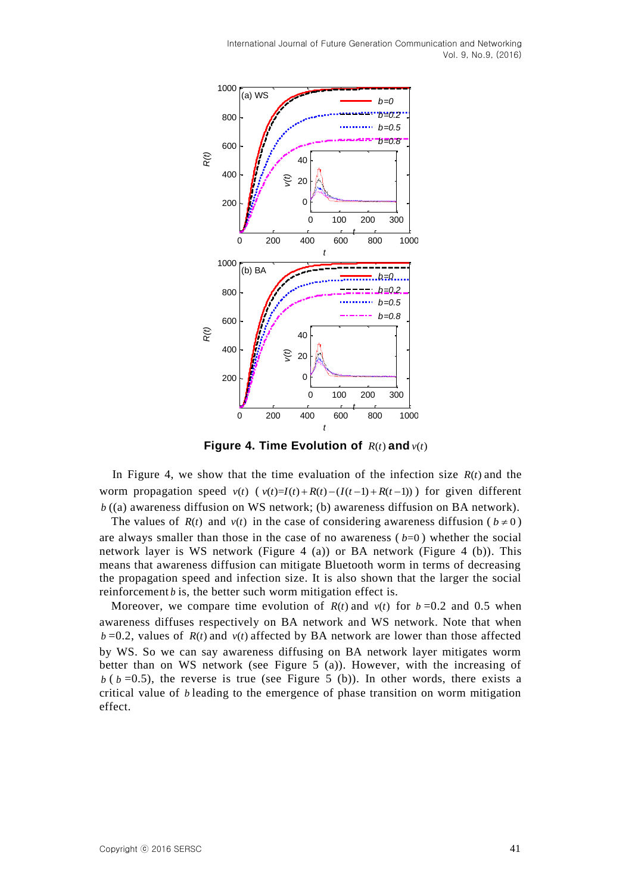

**Figure 4. Time Evolution of**  $R(t)$  **and**  $v(t)$ 

In Figure 4, we show that the time evaluation of the infection size  $R(t)$  and the In 1 igure 4, we show that the time evaluation of the intertion size  $R(t)$  and the worm propagation speed  $v(t)$  ( $v(t)=I(t)+R(t)-(I(t-1)+R(t-1))$ ) for given different *b* ((a) awareness diffusion on WS network; (b) awareness diffusion on BA network).

The values of  $R(t)$  and  $v(t)$  in the case of considering awareness diffusion ( $b \ne 0$ ) are always smaller than those in the case of no awareness  $(b=0)$  whether the social network layer is WS network (Figure 4 (a)) or BA network (Figure 4 (b)). This means that awareness diffusion can mitigate Bluetooth worm in terms of decreasing the propagation speed and infection size. It is also shown that the larger the social reinforcement  $b$  is, the better such worm mitigation effect is.

Moreover, we compare time evolution of  $R(t)$  and  $v(t)$  for  $b=0.2$  and 0.5 when awareness diffuses respectively on BA network and WS network. Note that when  $b = 0.2$ , values of  $R(t)$  and  $v(t)$  affected by BA network are lower than those affected by WS. So we can say awareness diffusing on BA network layer mitigates worm better than on WS network (see Figure 5 (a)). However, with the increasing of  *(* $*b*$  *=0.5), the reverse is true (see Figure 5 (b)). In other words, there exists a* critical value of *b* leading to the emergence of phase transition on worm mitigation effect.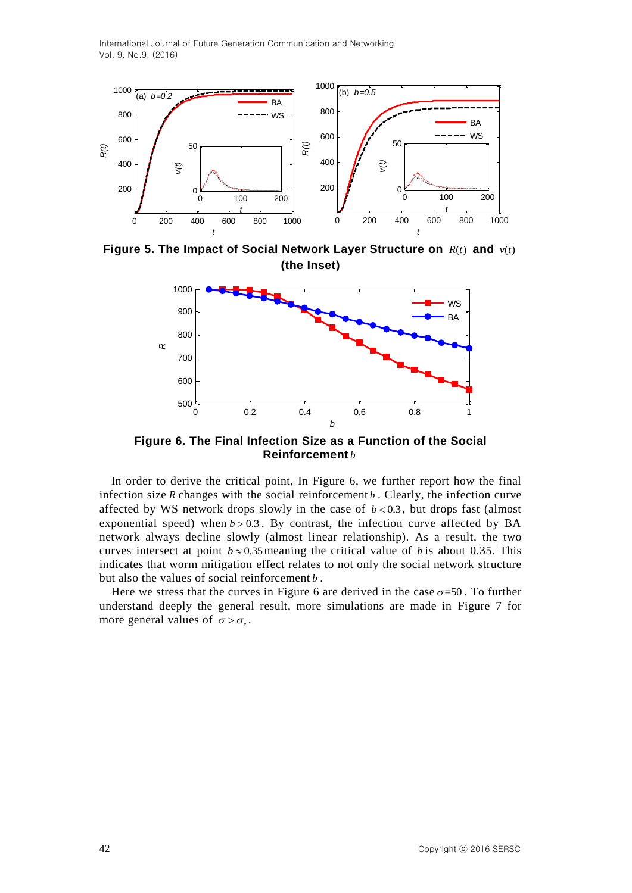

**Figure 5. The Impact of Social Network Layer Structure on**  $R(t)$  **and**  $v(t)$ **(the Inset)**



**Figure 6. The Final Infection Size as a Function of the Social Reinforcement** *b*

In order to derive the critical point, In Figure 6, we further report how the final infection size *R* changes with the social reinforcement *b* . Clearly, the infection curve affected by WS network drops slowly in the case of  $b < 0.3$ , but drops fast (almost exponential speed) when  $b > 0.3$ . By contrast, the infection curve affected by BA network always decline slowly (almost linear relationship). As a result, the two curves intersect at point  $b \approx 0.35$  meaning the critical value of b is about 0.35. This indicates that worm mitigation effect relates to not only the social network structure but also the values of social reinforcement *b* .

Here we stress that the curves in Figure 6 are derived in the case  $\sigma$ =50. To further understand deeply the general result, more simulations are made in Figure 7 for more general values of  $\sigma > \sigma_c$ .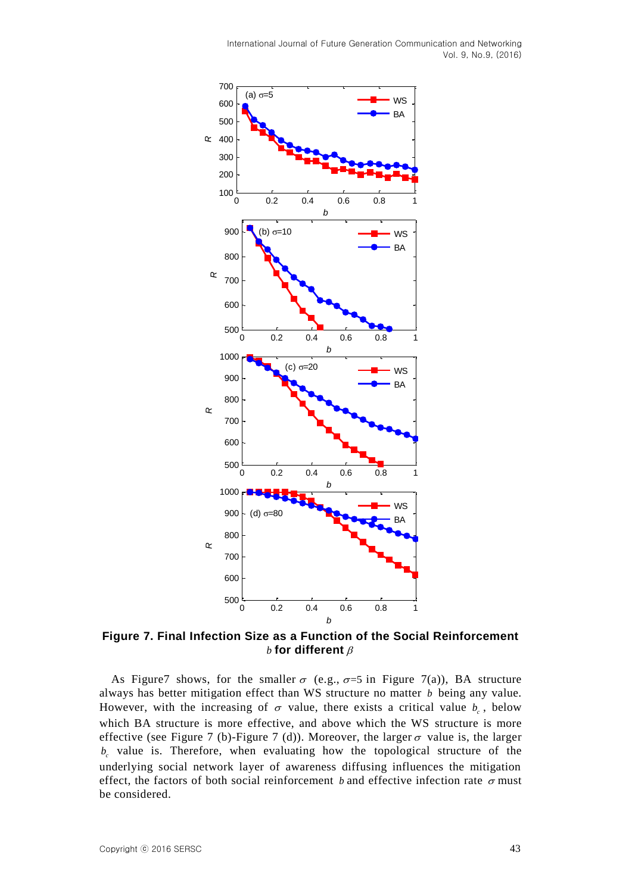

**Figure 7. Final Infection Size as a Function of the Social Reinforcement**   $b$  for different  $\beta$ 

As Figure 7 shows, for the smaller  $\sigma$  (e.g.,  $\sigma=5$  in Figure 7(a)), BA structure always has better mitigation effect than WS structure no matter *b* being any value. However, with the increasing of  $\sigma$  value, there exists a critical value  $b_c$ , below which BA structure is more effective, and above which the WS structure is more effective (see Figure 7 (b)-Figure 7 (d)). Moreover, the larger  $\sigma$  value is, the larger  $b_c$  value is. Therefore, when evaluating how the topological structure of the underlying social network layer of awareness diffusing influences the mitigation effect, the factors of both social reinforcement *b* and effective infection rate  $\sigma$  must be considered.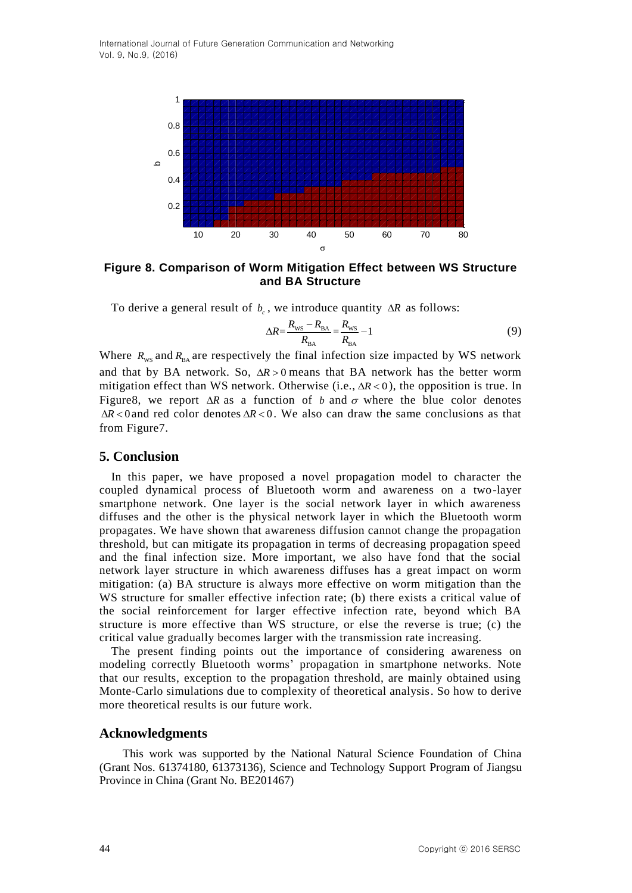

**Figure 8. Comparison of Worm Mitigation Effect between WS Structure and BA Structure**

To derive a general result of  $b_c$ , we introduce quantity  $\Delta R$  as follows:

$$
\Delta R = \frac{R_{\rm WS} - R_{\rm BA}}{R_{\rm BA}} = \frac{R_{\rm WS}}{R_{\rm BA}} - 1\tag{9}
$$

Where  $R_{ws}$  and  $R_{BA}$  are respectively the final infection size impacted by WS network and that by BA network. So,  $\Delta R > 0$  means that BA network has the better worm mitigation effect than WS network. Otherwise  $(i.e.,  $\Delta R < 0$ ), the opposition is true. In$ Figure8, we report  $\Delta R$  as a function of *b* and  $\sigma$  where the blue color denotes  $\Delta R$ <0 and red color denotes  $\Delta R$ <0. We also can draw the same conclusions as that from Figure7.

### **5. Conclusion**

In this paper, we have proposed a novel propagation model to character the coupled dynamical process of Bluetooth worm and awareness on a two-layer smartphone network. One layer is the social network layer in which awareness diffuses and the other is the physical network layer in which the Bluetooth worm propagates. We have shown that awareness diffusion cannot change the propagation threshold, but can mitigate its propagation in terms of decreasing propagation speed and the final infection size. More important, we also have fond that the social network layer structure in which awareness diffuses has a great impact on worm mitigation: (a) BA structure is always more effective on worm mitigation than the WS structure for smaller effective infection rate; (b) there exists a critical value of the social reinforcement for larger effective infection rate, beyond which BA structure is more effective than WS structure, or else the reverse is true; (c) the critical value gradually becomes larger with the transmission rate increasing.

The present finding points out the importance of considering awareness on modeling correctly Bluetooth worms" propagation in smartphone networks. Note that our results, exception to the propagation threshold, are mainly obtained using Monte-Carlo simulations due to complexity of theoretical analysis. So how to derive more theoretical results is our future work.

### **Acknowledgments**

This work was supported by the National Natural Science Foundation of China (Grant Nos. 61374180, 61373136), Science and Technology Support Program of Jiangsu Province in China (Grant No. BE201467)